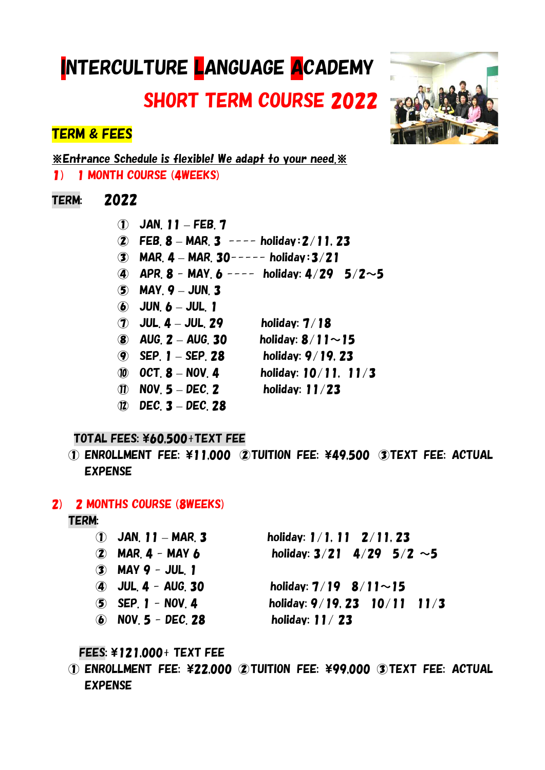# INTERCULTURE LANGUAGE ACADEMY

SHORT TERM COURSE 2022

# TERM & FEES

※Entrance Schedule is flexible! We adapt to your need.※ 1) 1 MONTH COURSE (4WEEKS)

## TERM: 2022

① JAN. 11 – FEB. 7 ② FEB. 8 – MAR. 3 ---- holiday:2/11, 23  $\overline{3}$  MAR. 4 – MAR. 30----- holiday: 3/21 (4) APR. 8 - MAY. 6 ---- holiday:  $4/29$  5/2~5  $(5)$  MAY,  $9 -$  JUN, 3  $\ddot{\mathbf{6}}$  JUN.  $\mathbf{6}$  – JUL. 1 ⑦ JUL. 4 – JUL. 29 holiday: 7/18 8  $AUG. 2 - AUG. 30$  holiday:  $8/11 \sim 15$ ⑨ SEP. 1 – SEP. 28 holiday: 9/19, 23 ⑩ OCT. 8 – NOV. 4 holiday: 10/11, 11/3  $\hat{v}$  NOV. 5 – DEC. 2 holiday: 11/23 ⑫ DEC. 3 – DEC. 28

## TOTAL FEES: ¥60.500+TEXT FEE

 $\Omega$  enrollment fee: \\ 1.000  $\Omega$  tuition fee: \\ 49.500  $\Omega$  text fee: actual EXPENSE

### 2) 2 MONTHS COURSE (8WEEKS)

### TERM:

| $(1)$ JAN, 11 – MAR, 3 | holiday: $1/1$ , $11 \t2/11$ , 23 |
|------------------------|-----------------------------------|
| $(2)$ MAR 4 - MAY 6    | holiday: $3/21$ 4/29 5/2 ~5       |
| $(3)$ MAY 9 - JUL, 1   |                                   |
| $(4)$ JUL $4 -$ AUG 30 | holiday: $7/19$ 8/11~15           |
| $(5)$ SEP 1 - NOV 4    | holiday: 9/19, 23 10/11 11/3      |
| (6) NOV $5$ - DEC 28   | holiday: $11/23$                  |

## FEES: \121,000+ TEXT FEE

 $\Omega$  enrollment fee: \\$22,000  $\Omega$  tuition fee: \\$99,000  $\Omega$  text fee: actual EXPENSE